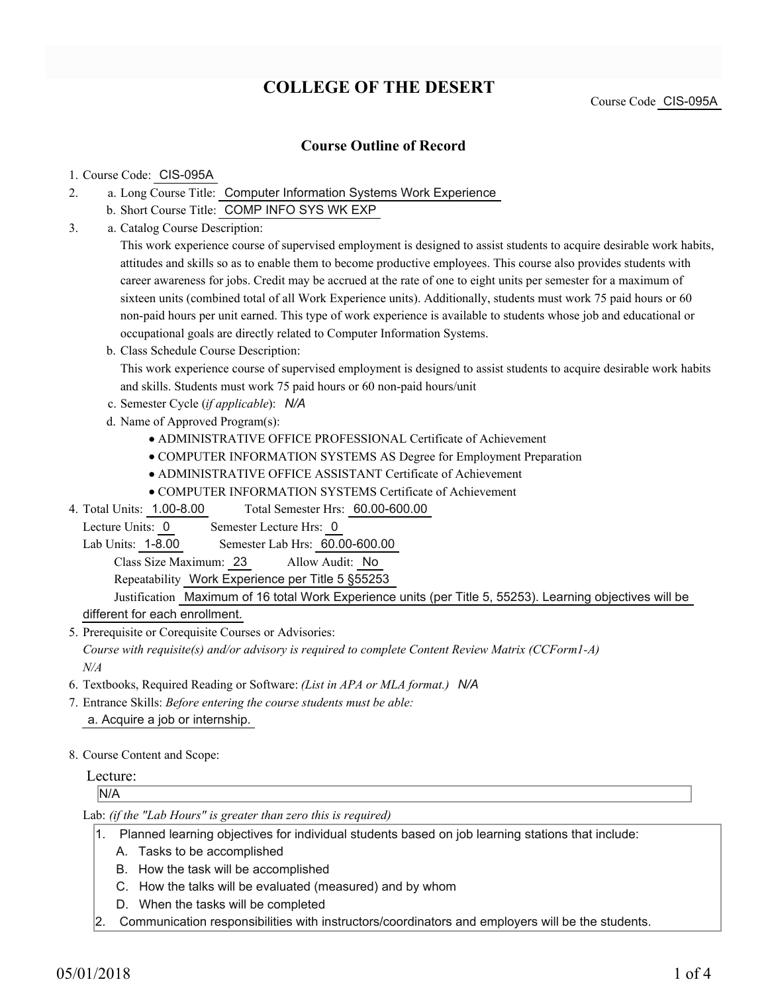# **COLLEGE OF THE DESERT**

Course Code CIS-095A

### **Course Outline of Record**

#### 1. Course Code: CIS-095A

- a. Long Course Title: Computer Information Systems Work Experience 2.
	- b. Short Course Title: COMP INFO SYS WK EXP
- Catalog Course Description: a. 3.

This work experience course of supervised employment is designed to assist students to acquire desirable work habits, attitudes and skills so as to enable them to become productive employees. This course also provides students with career awareness for jobs. Credit may be accrued at the rate of one to eight units per semester for a maximum of sixteen units (combined total of all Work Experience units). Additionally, students must work 75 paid hours or 60 non-paid hours per unit earned. This type of work experience is available to students whose job and educational or occupational goals are directly related to Computer Information Systems.

b. Class Schedule Course Description:

This work experience course of supervised employment is designed to assist students to acquire desirable work habits and skills. Students must work 75 paid hours or 60 non-paid hours/unit

- c. Semester Cycle (*if applicable*): *N/A*
- d. Name of Approved Program(s):
	- ADMINISTRATIVE OFFICE PROFESSIONAL Certificate of Achievement
	- COMPUTER INFORMATION SYSTEMS AS Degree for Employment Preparation
	- ADMINISTRATIVE OFFICE ASSISTANT Certificate of Achievement
	- COMPUTER INFORMATION SYSTEMS Certificate of Achievement
- Total Semester Hrs: 60.00-600.00 4. Total Units: 1.00-8.00
- Lecture Units: 0 Semester Lecture Hrs: 0

Lab Units: 1-8.00 Semester Lab Hrs: 60.00-600.00

Class Size Maximum: 23 Allow Audit: No

Repeatability Work Experience per Title 5 §55253

Justification Maximum of 16 total Work Experience units (per Title 5, 55253). Learning objectives will be different for each enrollment.

5. Prerequisite or Corequisite Courses or Advisories: *Course with requisite(s) and/or advisory is required to complete Content Review Matrix (CCForm1-A) N/A*

- 6. Textbooks, Required Reading or Software: *(List in APA or MLA format.) N/A*
- Entrance Skills: *Before entering the course students must be able:* 7. a. Acquire a job or internship.
- 8. Course Content and Scope:

#### Lecture:

#### N/A

Lab: *(if the "Lab Hours" is greater than zero this is required)*

- 1. Planned learning objectives for individual students based on job learning stations that include:
	- A. Tasks to be accomplished
	- B. How the task will be accomplished
	- C. How the talks will be evaluated (measured) and by whom
	- D. When the tasks will be completed
- 2. Communication responsibilities with instructors/coordinators and employers will be the students.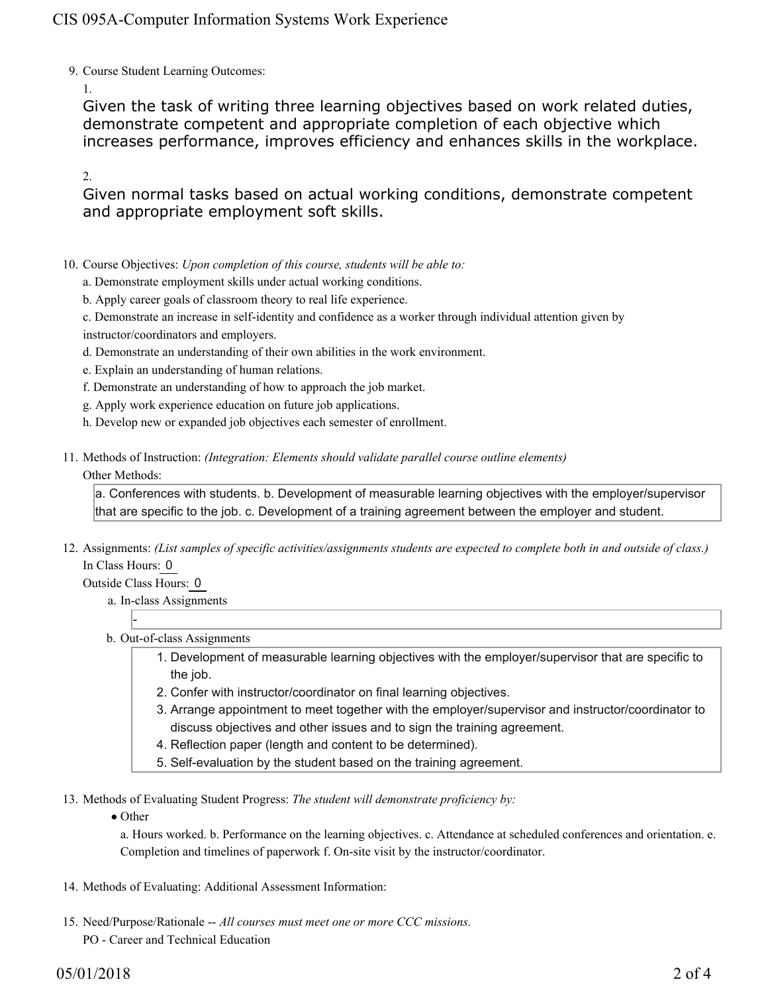### CIS 095A-Computer Information Systems Work Experience

9. Course Student Learning Outcomes:

1.

Given the task of writing three learning objectives based on work related duties, demonstrate competent and appropriate completion of each objective which increases performance, improves efficiency and enhances skills in the workplace.

2.

Given normal tasks based on actual working conditions, demonstrate competent and appropriate employment soft skills.

- 10. Course Objectives: Upon completion of this course, students will be able to:
	- a. Demonstrate employment skills under actual working conditions.
	- b. Apply career goals of classroom theory to real life experience.
	- c. Demonstrate an increase in self-identity and confidence as a worker through individual attention given by instructor/coordinators and employers.
	- d. Demonstrate an understanding of their own abilities in the work environment.
	- e. Explain an understanding of human relations.
	- f. Demonstrate an understanding of how to approach the job market.
	- g. Apply work experience education on future job applications.
	- h. Develop new or expanded job objectives each semester of enrollment.
- Methods of Instruction: *(Integration: Elements should validate parallel course outline elements)* 11. Other Methods:

a. Conferences with students. b. Development of measurable learning objectives with the employer/supervisor that are specific to the job. c. Development of a training agreement between the employer and student.

12. Assignments: (List samples of specific activities/assignments students are expected to complete both in and outside of class.) In Class Hours: 0

Outside Class Hours: 0

-

- a. In-class Assignments
- b. Out-of-class Assignments
	- 1. Development of measurable learning objectives with the employer/supervisor that are specific to the job.
	- 2. Confer with instructor/coordinator on final learning objectives.
	- Arrange appointment to meet together with the employer/supervisor and instructor/coordinator to 3. discuss objectives and other issues and to sign the training agreement.
	- 4. Reflection paper (length and content to be determined).
	- 5. Self-evaluation by the student based on the training agreement.

13. Methods of Evaluating Student Progress: The student will demonstrate proficiency by:

• Other

a. Hours worked. b. Performance on the learning objectives. c. Attendance at scheduled conferences and orientation. e. Completion and timelines of paperwork f. On-site visit by the instructor/coordinator.

- 14. Methods of Evaluating: Additional Assessment Information:
- 15. Need/Purpose/Rationale -- All courses must meet one or more CCC missions. PO - Career and Technical Education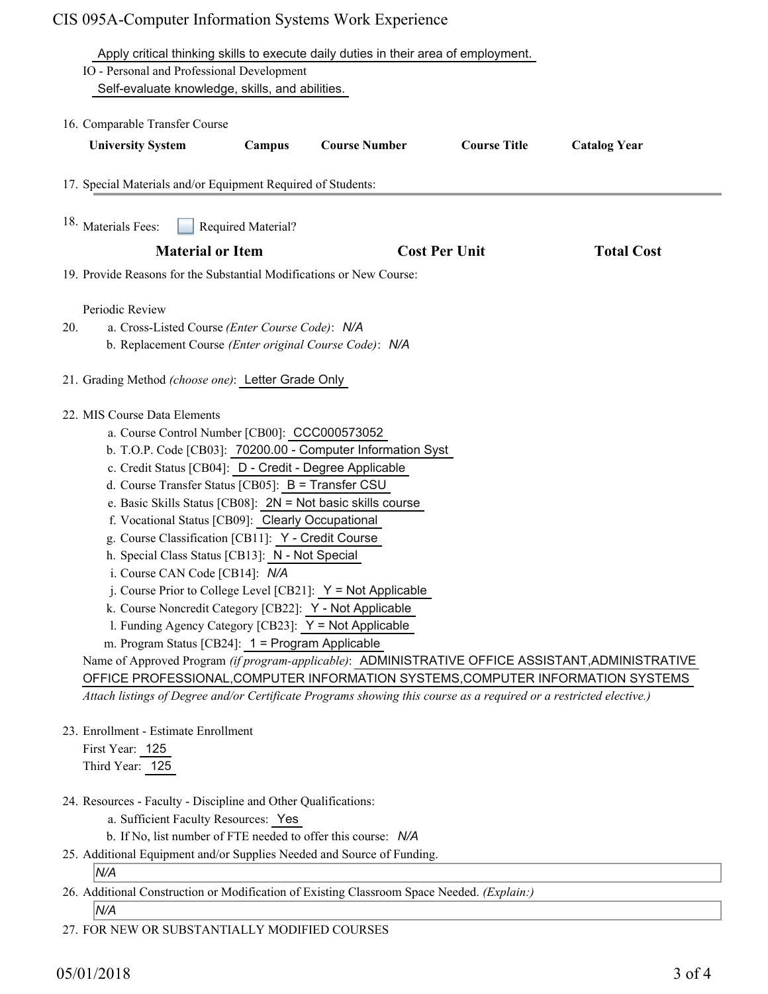## CIS 095A-Computer Information Systems Work Experience

|     | Apply critical thinking skills to execute daily duties in their area of employment.<br>IO - Personal and Professional Development<br>Self-evaluate knowledge, skills, and abilities.                                                                                                                                                                                                                                                                                                                                                                                                                                                                                                                                                                                                                                                                                                                                                                                                                                                                                                  |
|-----|---------------------------------------------------------------------------------------------------------------------------------------------------------------------------------------------------------------------------------------------------------------------------------------------------------------------------------------------------------------------------------------------------------------------------------------------------------------------------------------------------------------------------------------------------------------------------------------------------------------------------------------------------------------------------------------------------------------------------------------------------------------------------------------------------------------------------------------------------------------------------------------------------------------------------------------------------------------------------------------------------------------------------------------------------------------------------------------|
|     | 16. Comparable Transfer Course<br><b>Course Title</b><br><b>University System</b><br><b>Course Number</b><br><b>Catalog Year</b><br>Campus                                                                                                                                                                                                                                                                                                                                                                                                                                                                                                                                                                                                                                                                                                                                                                                                                                                                                                                                            |
|     | 17. Special Materials and/or Equipment Required of Students:                                                                                                                                                                                                                                                                                                                                                                                                                                                                                                                                                                                                                                                                                                                                                                                                                                                                                                                                                                                                                          |
|     | <sup>18.</sup> Materials Fees:<br>Required Material?                                                                                                                                                                                                                                                                                                                                                                                                                                                                                                                                                                                                                                                                                                                                                                                                                                                                                                                                                                                                                                  |
|     | <b>Material or Item</b><br><b>Cost Per Unit</b><br><b>Total Cost</b>                                                                                                                                                                                                                                                                                                                                                                                                                                                                                                                                                                                                                                                                                                                                                                                                                                                                                                                                                                                                                  |
|     | 19. Provide Reasons for the Substantial Modifications or New Course:                                                                                                                                                                                                                                                                                                                                                                                                                                                                                                                                                                                                                                                                                                                                                                                                                                                                                                                                                                                                                  |
|     |                                                                                                                                                                                                                                                                                                                                                                                                                                                                                                                                                                                                                                                                                                                                                                                                                                                                                                                                                                                                                                                                                       |
|     | Periodic Review                                                                                                                                                                                                                                                                                                                                                                                                                                                                                                                                                                                                                                                                                                                                                                                                                                                                                                                                                                                                                                                                       |
| 20. | a. Cross-Listed Course (Enter Course Code): N/A                                                                                                                                                                                                                                                                                                                                                                                                                                                                                                                                                                                                                                                                                                                                                                                                                                                                                                                                                                                                                                       |
|     | b. Replacement Course (Enter original Course Code): N/A                                                                                                                                                                                                                                                                                                                                                                                                                                                                                                                                                                                                                                                                                                                                                                                                                                                                                                                                                                                                                               |
|     | 21. Grading Method (choose one): Letter Grade Only                                                                                                                                                                                                                                                                                                                                                                                                                                                                                                                                                                                                                                                                                                                                                                                                                                                                                                                                                                                                                                    |
|     | 22. MIS Course Data Elements<br>a. Course Control Number [CB00]: CCC000573052<br>b. T.O.P. Code [CB03]: 70200.00 - Computer Information Syst<br>c. Credit Status [CB04]: D - Credit - Degree Applicable<br>d. Course Transfer Status [CB05]: B = Transfer CSU<br>e. Basic Skills Status [CB08]: 2N = Not basic skills course<br>f. Vocational Status [CB09]: Clearly Occupational<br>g. Course Classification [CB11]: Y - Credit Course<br>h. Special Class Status [CB13]: N - Not Special<br>i. Course CAN Code [CB14]: N/A<br>j. Course Prior to College Level [CB21]: $Y = Not$ Applicable<br>k. Course Noncredit Category [CB22]: Y - Not Applicable<br>1. Funding Agency Category [CB23]: $Y = Not$ Applicable<br>m. Program Status [CB24]: 1 = Program Applicable<br>Name of Approved Program (if program-applicable): ADMINISTRATIVE OFFICE ASSISTANT, ADMINISTRATIVE<br>OFFICE PROFESSIONAL, COMPUTER INFORMATION SYSTEMS, COMPUTER INFORMATION SYSTEMS<br>Attach listings of Degree and/or Certificate Programs showing this course as a required or a restricted elective.) |
|     | 23. Enrollment - Estimate Enrollment<br>First Year: 125<br>Third Year: 125                                                                                                                                                                                                                                                                                                                                                                                                                                                                                                                                                                                                                                                                                                                                                                                                                                                                                                                                                                                                            |
|     | 24. Resources - Faculty - Discipline and Other Qualifications:<br>a. Sufficient Faculty Resources: Yes<br>b. If No, list number of FTE needed to offer this course: N/A                                                                                                                                                                                                                                                                                                                                                                                                                                                                                                                                                                                                                                                                                                                                                                                                                                                                                                               |

25. Additional Equipment and/or Supplies Needed and Source of Funding.

### *N/A*

26. Additional Construction or Modification of Existing Classroom Space Needed. (Explain:)

*N/A*

27. FOR NEW OR SUBSTANTIALLY MODIFIED COURSES